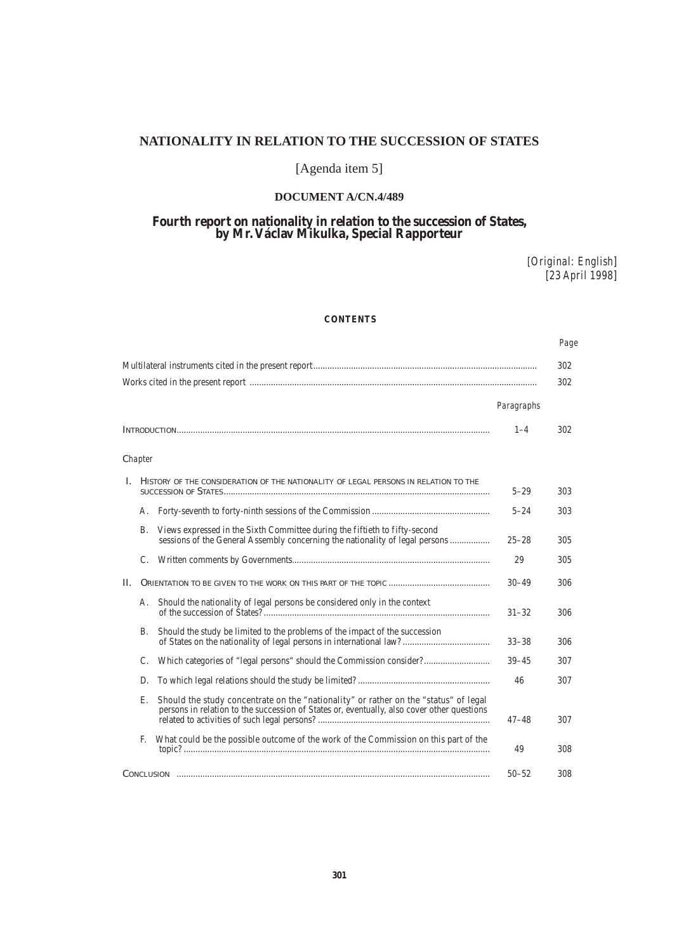# **NATIONALITY IN RELATION TO THE SUCCESSION OF STATES**

# [Agenda item 5]

# **DOCUMENT A/CN.4/489**

# **Fourth report on nationality in relation to the succession of States, by Mr. Václav Mikulka, Special Rapporteur**

[*Original: English*] [*23 April 1998*]

# **CONTENTS**

 *Page*

|    |         |                                                                                                                                                                                    |            | 302 |
|----|---------|------------------------------------------------------------------------------------------------------------------------------------------------------------------------------------|------------|-----|
|    |         |                                                                                                                                                                                    |            | 302 |
|    |         |                                                                                                                                                                                    | Paragraphs |     |
|    |         |                                                                                                                                                                                    |            | 302 |
|    | Chapter |                                                                                                                                                                                    |            |     |
| L. |         | HISTORY OF THE CONSIDERATION OF THE NATIONALITY OF LEGAL PERSONS IN RELATION TO THE                                                                                                | $5 - 29$   | 303 |
|    | А.      |                                                                                                                                                                                    | $5 - 24$   | 303 |
|    | B.      | Views expressed in the Sixth Committee during the fiftieth to fifty-second<br>sessions of the General Assembly concerning the nationality of legal persons                         | $25 - 28$  | 305 |
|    | C.      |                                                                                                                                                                                    | 29         | 305 |
| H. |         |                                                                                                                                                                                    | $30 - 49$  | 306 |
|    | А.      | Should the nationality of legal persons be considered only in the context                                                                                                          | $31 - 32$  | 306 |
|    | В.      | Should the study be limited to the problems of the impact of the succession                                                                                                        | $33 - 38$  | 306 |
|    | C.      |                                                                                                                                                                                    | $39 - 45$  | 307 |
|    | D.      |                                                                                                                                                                                    | 46         | 307 |
|    | Е.      | Should the study concentrate on the "nationality" or rather on the "status" of legal<br>persons in relation to the succession of States or, eventually, also cover other questions | $47 - 48$  | 307 |
|    | F.      | What could be the possible outcome of the work of the Commission on this part of the                                                                                               | 49         | 308 |
|    |         |                                                                                                                                                                                    | $50 - 52$  | 308 |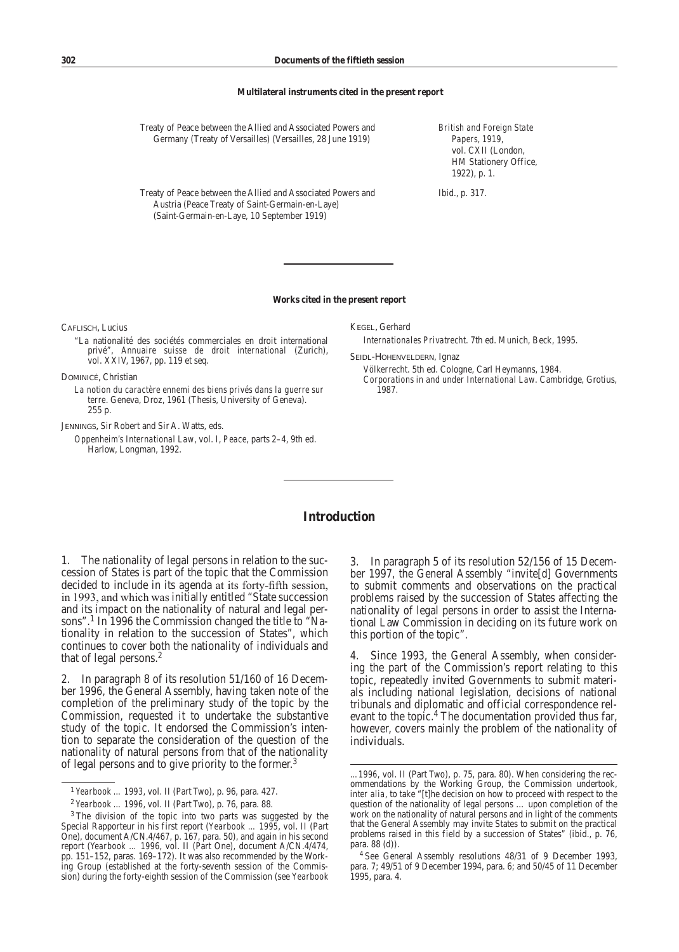#### **Multilateral instruments cited in the present report**

| Treaty of Peace between the Allied and Associated Powers and<br>Germany (Treaty of Versailles) (Versailles, 28 June 1919) | <b>British and Foreign State</b><br>Papers, 1919,<br>vol. CXII (London,<br>HM Stationery Office,<br>$1922$ , p. 1. |
|---------------------------------------------------------------------------------------------------------------------------|--------------------------------------------------------------------------------------------------------------------|
| Treaty of Peace between the Allied and Associated Powers and<br>Austria (Peace Treaty of Saint-Germain-en-Laye)           | Ibid., p. 317.                                                                                                     |

#### **Works cited in the present report**

Caflisch, Lucius

"La nationalité des sociétés commerciales en droit international privé", *Annuaire suisse de droit international* (Zurich), vol. XXIV, 1967, pp. 119 et seq.

(Saint-Germain-en-Laye, 10 September 1919)

Dominicé, Christian

*La notion du caractère ennemi des biens privés dans la guerre sur terre*. Geneva, Droz, 1961 (Thesis, University of Geneva). 255 p.

Jennings, Sir Robert and Sir A. Watts, eds.

*Oppenheim's International Law*, vol. I, *Peace*, parts 2–4, 9th ed. Harlow, Longman, 1992.

Kegel, Gerhard

*Internationales Privatrecht*. 7th ed. Munich, Beck, 1995.

Seidl-Hohenveldern, Ignaz

*Völkerrecht*. 5th ed. Cologne, Carl Heymanns, 1984.

*Corporations in and under International Law*. Cambridge, Grotius, 1987.

# **Introduction**

1. The nationality of legal persons in relation to the succession of States is part of the topic that the Commission decided to include in its agenda at its forty-fifth session, in 1993, and which was initially entitled "State succession and its impact on the nationality of natural and legal persons".<sup>1</sup> In 1996 the Commission changed the title to "Nationality in relation to the succession of States", which continues to cover both the nationality of individuals and that of legal persons.<sup>2</sup>

2. In paragraph 8 of its resolution 51/160 of 16 December 1996, the General Assembly, having taken note of the completion of the preliminary study of the topic by the Commission, requested it to undertake the substantive study of the topic. It endorsed the Commission's intention to separate the consideration of the question of the nationality of natural persons from that of the nationality of legal persons and to give priority to the former.3

3. In paragraph 5 of its resolution 52/156 of 15 December 1997, the General Assembly "invite[d] Governments to submit comments and observations on the practical problems raised by the succession of States affecting the nationality of legal persons in order to assist the International Law Commission in deciding on its future work on this portion of the topic".

4. Since 1993, the General Assembly, when considering the part of the Commission's report relating to this topic, repeatedly invited Governments to submit materials including national legislation, decisions of national tribunals and diplomatic and official correspondence relevant to the topic.<sup>4</sup> The documentation provided thus far, however, covers mainly the problem of the nationality of individuals.

<sup>1</sup> *Yearbook … 1993*, vol. II (Part Two), p. 96, para. 427.

<sup>2</sup> *Yearbook … 1996*, vol. II (Part Two), p. 76, para. 88.

<sup>3</sup> The division of the topic into two parts was suggested by the Special Rapporteur in his first report (*Yearbook … 1995*, vol. II (Part One), document A/CN.4/467, p. 167, para. 50), and again in his second report (*Yearbook … 1996*, vol. II (Part One), document A/CN.4/474, pp. 151–152, paras. 169–172). It was also recommended by the Working Group (established at the forty-seventh session of the Commission) during the forty-eighth session of the Commission (see *Yearbook*

*<sup>…1996</sup>*, vol. II (Part Two), p. 75, para. 80). When considering the recommendations by the Working Group, the Commission undertook, *inter alia*, to take "[t]he decision on how to proceed with respect to the question of the nationality of legal persons … upon completion of the work on the nationality of natural persons and in light of the comments that the General Assembly may invite States to submit on the practical problems raised in this field by a succession of States" (ibid., p. 76, para. 88 (*d*)).

<sup>4</sup> See General Assembly resolutions 48/31 of 9 December 1993, para. 7; 49/51 of 9 December 1994, para. 6; and 50/45 of 11 December 1995, para. 4.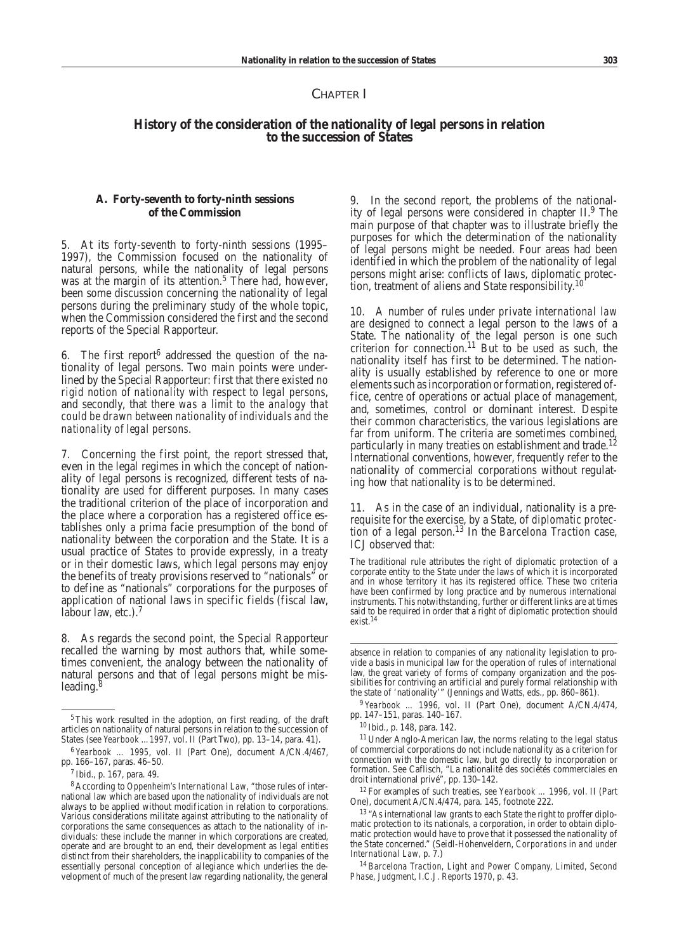### CHAPTER I

# **History of the consideration of the nationality of legal persons in relation to the succession of States**

### **A. Forty-seventh to forty-ninth sessions of the Commission**

5. At its forty-seventh to forty-ninth sessions (1995– 1997), the Commission focused on the nationality of natural persons, while the nationality of legal persons was at the margin of its attention.<sup>5</sup> There had, however, been some discussion concerning the nationality of legal persons during the preliminary study of the whole topic, when the Commission considered the first and the second reports of the Special Rapporteur.

6. The first report<sup>6</sup> addressed the question of the nationality of legal persons. Two main points were underlined by the Special Rapporteur: first that *there existed no rigid notion of nationality with respect to legal persons*, and secondly, that *there was a limit to the analogy that could be drawn between nationality of individuals and the nationality of legal persons*.

7. Concerning the first point, the report stressed that, even in the legal regimes in which the concept of nationality of legal persons is recognized, different tests of nationality are used for different purposes. In many cases the traditional criterion of the place of incorporation and the place where a corporation has a registered office establishes only a prima facie presumption of the bond of nationality between the corporation and the State. It is a usual practice of States to provide expressly, in a treaty or in their domestic laws, which legal persons may enjoy the benefits of treaty provisions reserved to "nationals" or to define as "nationals" corporations for the purposes of application of national laws in specific fields (fiscal law, labour law, etc.).<sup>7</sup>

8. As regards the second point, the Special Rapporteur recalled the warning by most authors that, while sometimes convenient, the analogy between the nationality of natural persons and that of legal persons might be misleading. $8$ 

9. In the second report, the problems of the nationality of legal persons were considered in chapter II.9 The main purpose of that chapter was to illustrate briefly the purposes for which the determination of the nationality of legal persons might be needed. Four areas had been identified in which the problem of the nationality of legal persons might arise: conflicts of laws, diplomatic protection, treatment of aliens and State responsibility.<sup>10</sup>

10. A number of rules under *private international law* are designed to connect a legal person to the laws of a State. The nationality of the legal person is one such criterion for connection.<sup>11</sup> But to be used as such, the nationality itself has first to be determined. The nationality is usually established by reference to one or more elements such as incorporation or formation, registered office, centre of operations or actual place of management, and, sometimes, control or dominant interest. Despite their common characteristics, the various legislations are far from uniform. The criteria are sometimes combined, particularly in many treaties on establishment and trade.<sup>12</sup> International conventions, however, frequently refer to the nationality of commercial corporations without regulating how that nationality is to be determined.

11. As in the case of an individual, nationality is a prerequisite for the exercise, by a State, of *diplomatic protection* of a legal person.13 In the *Barcelona Traction* case, ICJ observed that:

The traditional rule attributes the right of diplomatic protection of a corporate entity to the State under the laws of which it is incorporated and in whose territory it has its registered office. These two criteria have been confirmed by long practice and by numerous international instruments. This notwithstanding, further or different links are at times said to be required in order that a right of diplomatic protection should exist.14

<sup>12</sup> For examples of such treaties, see *Yearbook … 1996*, vol. II (Part One), document A/CN.4/474, para. 145, footnote 222.

<sup>13</sup> "As international law grants to each State the right to proffer diplomatic protection to its nationals, a corporation, in order to obtain diplomatic protection would have to prove that it possessed the nationality of the State concerned." (Seidl-Hohenveldern, *Corporations in and under International Law*, p. 7.)

<sup>14</sup> *Barcelona Traction, Light and Power Company, Limited, Second Phase, Judgment, I.C.J. Reports 1970*, p. 43.

<sup>5</sup>This work resulted in the adoption, on first reading, of the draft articles on nationality of natural persons in relation to the succession of States (see *Yearbook …1997*, vol. II (Part Two), pp. 13–14, para. 41).

<sup>6</sup> *Yearbook … 1995*, vol. II (Part One), document A/CN.4/467, pp. 166–167, paras. 46–50.

<sup>7</sup> Ibid., p. 167, para. 49.

<sup>8</sup> According to *Oppenheim's International Law*, "those rules of international law which are based upon the nationality of individuals are not always to be applied without modification in relation to corporations. Various considerations militate against attributing to the nationality of corporations the same consequences as attach to the nationality of individuals: these include the manner in which corporations are created, operate and are brought to an end, their development as legal entities distinct from their shareholders, the inapplicability to companies of the essentially personal conception of allegiance which underlies the development of much of the present law regarding nationality, the general 

absence in relation to companies of any nationality legislation to provide a basis in municipal law for the operation of rules of international law, the great variety of forms of company organization and the possibilities for contriving an artificial and purely formal relationship with the state of 'nationality'" (Jennings and Watts, eds., pp. 860–861).

<sup>9</sup> *Yearbook … 1996*, vol. II (Part One), document A/CN.4/474, pp. 147–151, paras. 140–167.

<sup>10</sup> Ibid., p. 148, para. 142.

<sup>&</sup>lt;sup>11</sup> Under Anglo-American law, the norms relating to the legal status of commercial corporations do not include nationality as a criterion for connection with the domestic law, but go directly to incorporation or formation. See Caflisch, "La nationalité des sociétés commerciales en droit international privé", pp. 130–142.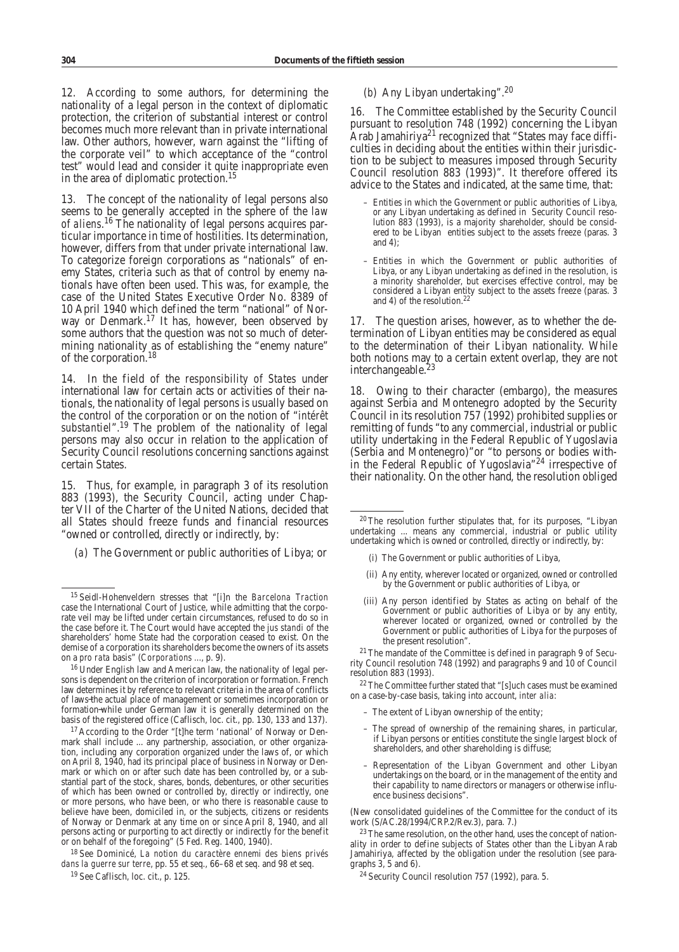12. According to some authors, for determining the nationality of a legal person in the context of diplomatic protection, the criterion of substantial interest or control becomes much more relevant than in private international law. Other authors, however, warn against the "lifting of the corporate veil" to which acceptance of the "control test" would lead and consider it quite inappropriate even in the area of diplomatic protection.15

The concept of the nationality of legal persons also seems to be generally accepted in the sphere of the *law of aliens*. <sup>16</sup> The nationality of legal persons acquires particular importance in time of hostilities. Its determination, however, differs from that under private international law. To categorize foreign corporations as "nationals" of enemy States, criteria such as that of control by enemy nationals have often been used. This was, for example, the case of the United States Executive Order No. 8389 of 10 April 1940 which defined the term "national" of Norway or Denmark.<sup>17</sup> It has, however, been observed by some authors that the question was not so much of determining nationality as of establishing the "enemy nature" of the corporation.18

14. In the field of the *responsibility of States* under international law for certain acts or activities of their nationals, the nationality of legal persons is usually based on the control of the corporation or on the notion of "*intérêt substantiel*".<sup>19</sup> The problem of the nationality of legal persons may also occur in relation to the application of Security Council resolutions concerning sanctions against certain States.

15. Thus, for example, in paragraph 3 of its resolution 883 (1993), the Security Council, acting under Chapter VII of the Charter of the United Nations, decided that all States should freeze funds and financial resources "owned or controlled, directly or indirectly, by:

(*a*) The Government or public authorities of Libya; or

<sup>19</sup> See Caflisch, loc. cit., p. 125.

## (*b*) Any Libyan undertaking".20

16. The Committee established by the Security Council pursuant to resolution 748 (1992) concerning the Libyan Arab Jamahiriya<sup>21</sup> recognized that "States may face difficulties in deciding about the entities within their jurisdiction to be subject to measures imposed through Security Council resolution 883 (1993)". It therefore offered its advice to the States and indicated, at the same time, that:

- Entities in which the Government or public authorities of Libya, or any Libyan undertaking as defined in Security Council resolution 883 (1993), is a majority shareholder, should be considered to be Libyan entities subject to the assets freeze (paras. 3 and 4);
- – Entities in which the Government or public authorities of Libya, or any Libyan undertaking as defined in the resolution, is a minority shareholder, but exercises effective control, may be considered a Libyan entity subject to the assets freeze (paras. 3 and 4) of the resolution.<sup>22</sup>

17. The question arises, however, as to whether the determination of Libyan entities may be considered as equal to the determination of their Libyan nationality. While both notions may to a certain extent overlap, they are not interchangeable.<sup>23</sup>

18. Owing to their character (embargo), the measures against Serbia and Montenegro adopted by the Security Council in its resolution 757 (1992) prohibited supplies or remitting of funds "to any commercial, industrial or public utility undertaking in the Federal Republic of Yugoslavia (Serbia and Montenegro)"or "to persons or bodies within the Federal Republic of Yugoslavia"<sup>24</sup> irrespective of their nationality. On the other hand, the resolution obliged

- (i) The Government or public authorities of Libya,
- i(ii) Any entity, wherever located or organized, owned or controlled by the Government or public authorities of Libya, or
- (iii) Any person identified by States as acting on behalf of the Government or public authorities of Libya or by any entity, wherever located or organized, owned or controlled by the Government or public authorities of Libya for the purposes of the present resolution".

<sup>21</sup> The mandate of the Committee is defined in paragraph 9 of Security Council resolution 748 (1992) and paragraphs 9 and 10 of Council resolution 883 (1993).

22The Committee further stated that "[s]uch cases must be examined on a case-by-case basis, taking into account, *inter alia*:

- The extent of Libyan ownership of the entity;
- The spread of ownership of the remaining shares, in particular, if Libyan persons or entities constitute the single largest block of shareholders, and other shareholding is diffuse;
- Representation of the Libyan Government and other Libyan undertakings on the board, or in the management of the entity and their capability to name directors or managers or otherwise influence business decisions".

(New consolidated guidelines of the Committee for the conduct of its work (S/AC.28/1994/CRP.2/Rev.3), para. 7.)

23The same resolution, on the other hand, uses the concept of nationality in order to define subjects of States other than the Libyan Arab Jamahiriya, affected by the obligation under the resolution (see paragraphs 3, 5 and 6).

<sup>24</sup> Security Council resolution 757 (1992), para. 5.

<sup>15</sup> Seidl-Hohenveldern stresses that "[i]n the *Barcelona Traction* case the International Court of Justice, while admitting that the corporate veil may be lifted under certain circumstances, refused to do so in the case before it. The Court would have accepted the *jus standi* of the shareholders' home State had the corporation ceased to exist. On the demise of a corporation its shareholders become the owners of its assets on a *pro rata* basis" (*Corporations ...*, p. 9).

<sup>16</sup> Under English law and American law, the nationality of legal persons is dependent on the criterion of incorporation or formation. French law determines it by reference to relevant criteria in the area of conflicts of laws the actual place of management or sometimes incorporation or formation while under German law it is generally determined on the basis of the registered office (Caflisch, loc. cit., pp. 130, 133 and 137).

<sup>&</sup>lt;sup>17</sup> According to the Order "[t]he term 'national' of Norway or Denmark shall include ... any partnership, association, or other organization, including any corporation organized under the laws of, or which on April 8, 1940, had its principal place of business in Norway or Denmark or which on or after such date has been controlled by, or a substantial part of the stock, shares, bonds, debentures, or other securities of which has been owned or controlled by, directly or indirectly, one or more persons, who have been, or who there is reasonable cause to believe have been, domiciled in, or the subjects, citizens or residents of Norway or Denmark at any time on or since April 8, 1940, and all persons acting or purporting to act directly or indirectly for the benefit or on behalf of the foregoing" (5 Fed. Reg. 1400, 1940).

<sup>18</sup> See Dominicé, *La notion du caractère ennemi des biens privés dans la guerre sur terre*, pp. 55 et seq., 66–68 et seq. and 98 et seq.

<sup>20</sup>The resolution further stipulates that, for its purposes, "Libyan undertaking ... means any commercial, industrial or public utility undertaking which is owned or controlled, directly or indirectly, by: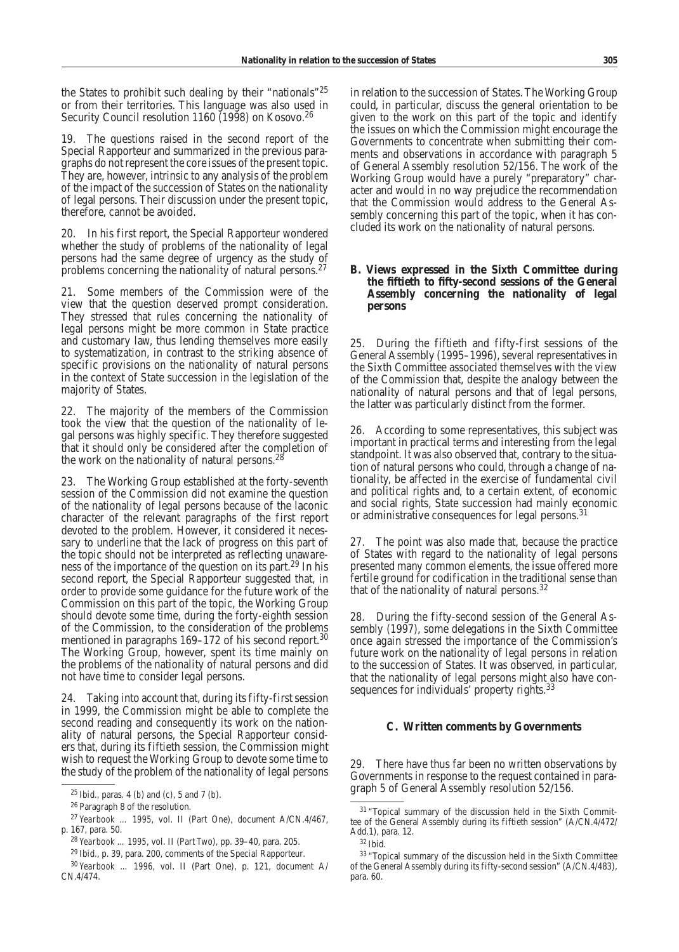the States to prohibit such dealing by their "nationals"25 or from their territories. This language was also used in Security Council resolution 1160 (1998) on Kosovo.<sup>26</sup>

19. The questions raised in the second report of the Special Rapporteur and summarized in the previous para graphs do not represent the core issues of the present topic. They are, however, intrinsic to any analysis of the problem of the impact of the succession of States on the nationality of legal persons. Their discussion under the present topic, therefore, cannot be avoided.

20. In his first report, the Special Rapporteur wondered whether the study of problems of the nationality of legal persons had the same degree of urgency as the study of problems concerning the nationality of natural persons.27

21. Some members of the Commission were of the view that the question deserved prompt consideration. They stressed that rules concerning the nationality of legal persons might be more common in State practice and customary law, thus lending themselves more easily to systematization, in contrast to the striking absence of specific provisions on the nationality of natural persons in the context of State succession in the legislation of the majority of States.

22. The majority of the members of the Commission took the view that the question of the nationality of legal persons was highly specific. They therefore suggested that it should only be considered after the completion of the work on the nationality of natural persons. $^{28}$ 

23. The Working Group established at the forty-seventh session of the Commission did not examine the question of the nationality of legal persons because of the laconic character of the relevant paragraphs of the first report devoted to the problem. However, it considered it necessary to underline that the lack of progress on this part of the topic should not be interpreted as reflecting unawareness of the importance of the question on its part.<sup>29</sup> In his second report, the Special Rapporteur suggested that, in order to provide some guidance for the future work of the Commission on this part of the topic, the Working Group should devote some time, during the forty-eighth session of the Commission, to the consideration of the problems mentioned in paragraphs 169–172 of his second report.<sup>30</sup> The Working Group, however, spent its time mainly on the problems of the nationality of natural persons and did not have time to consider legal persons.

24. Taking into account that, during its fifty-first session in 1999, the Commission might be able to complete the second reading and consequently its work on the nationality of natural persons, the Special Rapporteur considers that, during its fiftieth session, the Commission might wish to request the Working Group to devote some time to the study of the problem of the nationality of legal persons in relation to the succession of States. The Working Group could, in particular, discuss the general orientation to be given to the work on this part of the topic and identify the issues on which the Commission might encourage the Governments to concentrate when submitting their comments and observations in accordance with paragraph 5 of General Assembly resolution 52/156. The work of the Working Group would have a purely "preparatory" character and would in no way prejudice the recommendation that the Commission would address to the General Assembly concerning this part of the topic, when it has concluded its work on the nationality of natural persons.

# **B. Views expressed in the Sixth Committee during the fiftieth to fifty-second sessions of the General Assembly concerning the nationality of legal persons**

25. During the fiftieth and fifty-first sessions of the General Assembly (1995–1996), several representatives in the Sixth Committee associated themselves with the view of the Commission that, despite the analogy between the nationality of natural persons and that of legal persons, the latter was particularly distinct from the former.

26. According to some representatives, this subject was important in practical terms and interesting from the legal standpoint. It was also observed that, contrary to the situation of natural persons who could, through a change of nationality, be affected in the exercise of fundamental civil and political rights and, to a certain extent, of economic and social rights, State succession had mainly economic or administrative consequences for legal persons.<sup>31</sup>

27. The point was also made that, because the practice of States with regard to the nationality of legal persons presented many common elements, the issue offered more fertile ground for codification in the traditional sense than that of the nationality of natural persons.32

28. During the fifty-second session of the General Assembly (1997), some delegations in the Sixth Committee once again stressed the importance of the Commission's future work on the nationality of legal persons in relation to the succession of States. It was observed, in particular, that the nationality of legal persons might also have consequences for individuals' property rights.<sup>33</sup>

#### **C. Written comments by Governments**

29. There have thus far been no written observations by Governments in response to the request contained in paragraph 5 of General Assembly resolution 52/156.

<sup>25</sup> Ibid., paras. 4 (*b*) and (*c*), 5 and 7 (*b*).

<sup>26</sup> Paragraph 8 of the resolution.

<sup>27</sup> *Yearbook … 1995*, vol. II (Part One), document A/CN.4/467, p. 167, para. 50.

<sup>28</sup> *Yearbook … 1995*, vol. II (Part Two), pp. 39–40, para. 205.

<sup>29</sup> Ibid., p. 39, para. 200, comments of the Special Rapporteur.

<sup>30</sup> *Yearbook … 1996*, vol. II (Part One), p. 121, document A/ CN.4/474.

<sup>&</sup>lt;sup>31</sup> "Topical summary of the discussion held in the Sixth Committee of the General Assembly during its fiftieth session" (A/CN.4/472/ Add.1), para. 12.

<sup>32</sup> Ibid.

<sup>33</sup> "Topical summary of the discussion held in the Sixth Committee of the General Assembly during its fifty-second session" (A/CN.4/483), para. 60.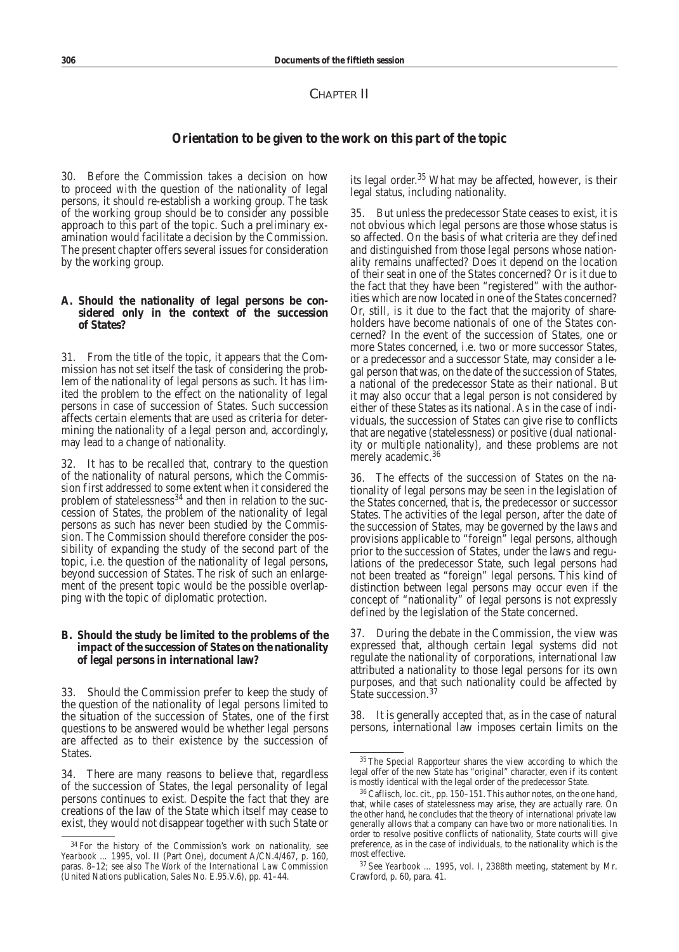# CHAPTER II

# **Orientation to be given to the work on this part of the topic**

30. Before the Commission takes a decision on how to proceed with the question of the nationality of legal persons, it should re-establish a working group. The task of the working group should be to consider any possible approach to this part of the topic. Such a preliminary examination would facilitate a decision by the Commission. The present chapter offers several issues for consideration by the working group.

#### **A. Should the nationality of legal persons be considered only in the context of the succession of States?**

31. From the title of the topic, it appears that the Commission has not set itself the task of considering the problem of the nationality of legal persons as such. It has limited the problem to the effect on the nationality of legal persons in case of succession of States. Such succession affects certain elements that are used as criteria for determining the nationality of a legal person and, accordingly, may lead to a change of nationality.

32. It has to be recalled that, contrary to the question of the nationality of natural persons, which the Commission first addressed to some extent when it considered the problem of statelessness $34$  and then in relation to the succession of States, the problem of the nationality of legal persons as such has never been studied by the Commission. The Commission should therefore consider the possibility of expanding the study of the second part of the topic, i.e. the question of the nationality of legal persons, beyond succession of States. The risk of such an enlargement of the present topic would be the possible overlapping with the topic of diplomatic protection.

## **B. Should the study be limited to the problems of the impact of the succession of States on the nationality of legal persons in international law?**

33. Should the Commission prefer to keep the study of the question of the nationality of legal persons limited to the situation of the succession of States, one of the first questions to be answered would be whether legal persons are affected as to their existence by the succession of States.

34. There are many reasons to believe that, regardless of the succession of States, the legal personality of legal persons continues to exist. Despite the fact that they are creations of the law of the State which itself may cease to exist, they would not disappear together with such State or its legal order.<sup>35</sup> What may be affected, however, is their legal status, including nationality.

35. But unless the predecessor State ceases to exist, it is not obvious which legal persons are those whose status is so affected. On the basis of what criteria are they defined and distinguished from those legal persons whose nationality remains unaffected? Does it depend on the location of their seat in one of the States concerned? Or is it due to the fact that they have been "registered" with the authorities which are now located in one of the States concerned? Or, still, is it due to the fact that the majority of shareholders have become nationals of one of the States concerned? In the event of the succession of States, one or more States concerned, i.e. two or more successor States, or a predecessor and a successor State, may consider a legal person that was, on the date of the succession of States, a national of the predecessor State as their national. But it may also occur that a legal person is not considered by either of these States as its national. As in the case of individuals, the succession of States can give rise to conflicts that are negative (statelessness) or positive (dual nationality or multiple nationality), and these problems are not merely academic.<sup>36</sup>

36. The effects of the succession of States on the nationality of legal persons may be seen in the legislation of the States concerned, that is, the predecessor or successor States. The activities of the legal person, after the date of the succession of States, may be governed by the laws and provisions applicable to "foreign" legal persons, although prior to the succession of States, under the laws and regulations of the predecessor State, such legal persons had not been treated as "foreign" legal persons. This kind of distinction between legal persons may occur even if the concept of "nationality" of legal persons is not expressly defined by the legislation of the State concerned.

37. During the debate in the Commission, the view was expressed that, although certain legal systems did not regulate the nationality of corporations, international law attributed a nationality to those legal persons for its own purposes, and that such nationality could be affected by State succession.<sup>37</sup>

38. It is generally accepted that, as in the case of natural persons, international law imposes certain limits on the

<sup>34</sup> For the history of the Commission's work on nationality, see *Yearbook … 1995*, vol. II (Part One), document A/CN.4/467, p. 160, paras. 8–12; see also *The Work of the International Law Commission* (United Nations publication, Sales No. E.95.V.6), pp. 41–44.

<sup>35</sup>The Special Rapporteur shares the view according to which the legal offer of the new State has "original" character, even if its content is mostly identical with the legal order of the predecessor State.

<sup>36</sup> Caflisch, loc. cit., pp. 150–151. This author notes, on the one hand, that, while cases of statelessness may arise, they are actually rare. On the other hand, he concludes that the theory of international private law generally allows that a company can have two or more nationalities. In order to resolve positive conflicts of nationality, State courts will give preference, as in the case of individuals, to the nationality which is the most effective.

<sup>37</sup> See *Yearbook … 1995*, vol. I, 2388th meeting, statement by Mr. Crawford, p. 60, para. 41.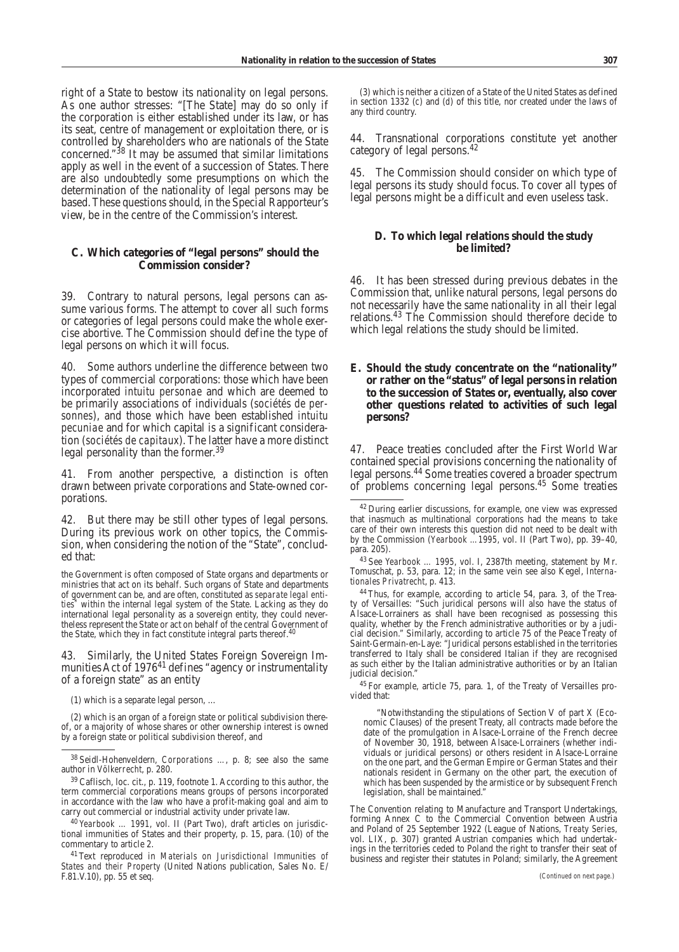right of a State to bestow its nationality on legal persons. As one author stresses: "[The State] may do so only if the corporation is either established under its law, or has its seat, centre of management or exploitation there, or is controlled by shareholders who are nationals of the State concerned."38 It may be assumed that similar limitations apply as well in the event of a succession of States. There are also undoubtedly some presumptions on which the determination of the nationality of legal persons may be based.These questions should, in the Special Rapporteur's view, be in the centre of the Commission's interest.

## **C. Which categories of "legal persons" should the Commission consider?**

39. Contrary to natural persons, legal persons can assume various forms. The attempt to cover all such forms or categories of legal persons could make the whole exercise abortive. The Commission should define the type of legal persons on which it will focus.

40. Some authors underline the difference between two types of commercial corporations: those which have been incorporated *intuitu personae* and which are deemed to be primarily associations of individuals (*sociétés de personnes*), and those which have been established *intuitu pecuniae* and for which capital is a significant consideration (*sociétés de capitaux*). The latter have a more distinct legal personality than the former.<sup>39</sup>

41. From another perspective, a distinction is often drawn between private corporations and State-owned corporations.

42. But there may be still other types of legal persons. During its previous work on other topics, the Commission, when considering the notion of the "State", concluded that:

the Government is often composed of State organs and departments or ministries that act on its behalf. Such organs of State and departments of government can be, and are often, constituted as *separate legal entities*\* within the internal legal system of the State. Lacking as they do international legal personality as a sovereign entity, they could nevertheless represent the State or act on behalf of the central Government of the State, which they in fact constitute integral parts thereof.<sup>4</sup>

43. Similarly, the United States Foreign Sovereign Immunities Act of 1976<sup>41</sup> defines "agency or instrumentality of a foreign state" as an entity

(1) which is a separate legal person, …

(2) which is an organ of a foreign state or political subdivision thereof, or a majority of whose shares or other ownership interest is owned by a foreign state or political subdivision thereof, and

<sup>39</sup> Caflisch, loc. cit., p. 119, footnote 1. According to this author, the term commercial corporations means groups of persons incorporated in accordance with the law who have a profit-making goal and aim to carry out commercial or industrial activity under private law.

<sup>40</sup> *Yearbook … 1991*, vol. II (Part Two), draft articles on jurisdictional immunities of States and their property, p. 15, para. (10) of the commentary to article 2.

41Text reproduced in *Materials on Jurisdictional Immunities of States and their Property* (United Nations publication, Sales No. E/ F.81.V.10), pp. 55 et seq.

(3) which is neither a citizen of a State of the United States as defined in section 1332 (*c*) and (*d*) of this title, nor created under the laws of any third country.

44. Transnational corporations constitute yet another category of legal persons.42

45. The Commission should consider on which type of legal persons its study should focus. To cover all types of legal persons might be a difficult and even useless task.

# **D. To which legal relations should the study be limited?**

46. It has been stressed during previous debates in the Commission that, unlike natural persons, legal persons do not necessarily have the same nationality in all their legal relations.43 The Commission should therefore decide to which legal relations the study should be limited.

## **E. Should the study concentrate on the "nationality" or rather on the "status" of legal persons in relation to the succession of States or, eventually, also cover other questions related to activities of such legal persons?**

47. Peace treaties concluded after the First World War contained special provisions concerning the nationality of legal persons.44 Some treaties covered a broader spectrum of problems concerning legal persons.<sup>45</sup> Some treaties

<sup>45</sup> For example, article 75, para. 1, of the Treaty of Versailles provided that:

"Notwithstanding the stipulations of Section V of part X (Economic Clauses) of the present Treaty, all contracts made before the date of the promulgation in Alsace-Lorraine of the French decree of November 30, 1918, between Alsace-Lorrainers (whether individuals or juridical persons) or others resident in Alsace-Lorraine on the one part, and the German Empire or German States and their nationals resident in Germany on the other part, the execution of which has been suspended by the armistice or by subsequent French legislation, shall be maintained."

The Convention relating to Manufacture and Transport Undertakings, forming Annex C to the Commercial Convention between Austria and Poland of 25 September 1922 (League of Nations, *Treaty Series*, vol. LIX, p. 307) granted Austrian companies which had undertakings in the territories ceded to Poland the right to transfer their seat of business and register their statutes in Poland; similarly, the Agreement 

<sup>38</sup> Seidl-Hohenveldern, *Corporations …*, p. 8; see also the same author in *Völkerrecht*, p. 280.

<sup>42</sup> During earlier discussions, for example, one view was expressed that inasmuch as multinational corporations had the means to take care of their own interests this question did not need to be dealt with by the Commission (*Yearbook …1995*, vol. II (Part Two), pp. 39–40, para. 205).

<sup>43</sup> See *Yearbook … 1995*, vol. I, 2387th meeting, statement by Mr. Tomuschat, p. 53, para. 12; in the same vein see also Kegel, *Internationales Privatrecht*, p. 413.

<sup>44</sup>Thus, for example, according to article 54, para. 3, of the Treaty of Versailles: "Such juridical persons will also have the status of Alsace-Lorrainers as shall have been recognised as possessing this quality, whether by the French administrative authorities or by a judicial decision." Similarly, according to article 75 of the Peace Treaty of Saint-Germain-en-Laye: "Juridical persons established in the territories transferred to Italy shall be considered Italian if they are recognised as such either by the Italian administrative authorities or by an Italian judicial decision."